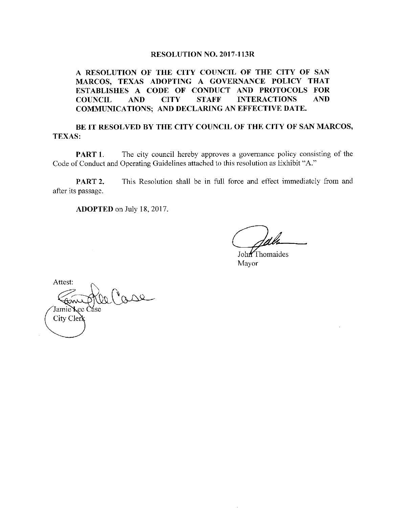## RESOLUTION NO. 2017-113R

A RESOLUTION OF THE CITY COUNCIL OF THE CITY OF SAN MARCOS, TEXAS ADOPTING A GOVERNANCE POLICY THAT ESTABLISHES A CODE OF CONDUCT AND PROTOCOLS FOR COUNCIL AND CITY STAFF INTERACTIONS AND COMMUNICATIONS; AND DECLARING AN EFFECTIVE DATE.

## BE IT RESOLVED BY THE CITY COUNCIL OF THE CITY OF SAN MARCOS, TEXAS:

**PART 1.** The city council hereby approves a governance policy consisting of the Code of Conduct and Operating Guidelines attached to this resolution as Exhibit "A."

PART 2. This Resolution shall be in full force and effect immediately from and after its passage.

ADOPTED on July 18, 2017.

John Thomaides Mayor

Attest: Jamie Lec Case City Cler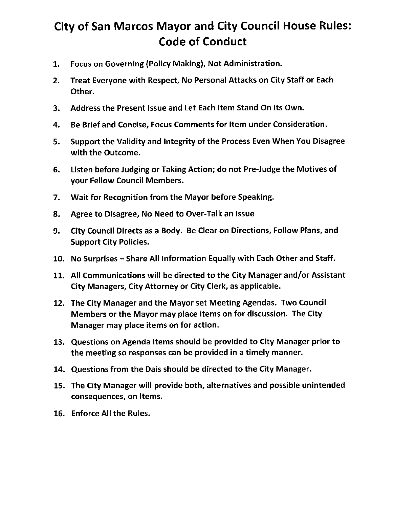## City of San Marcos Mayor and City Council House Rules: Code of Conduct

- 1. Focus on Governing (Policy Making), Not Administration.
- 2. Treat Everyone with Respect, No Personal Attacks on City Staff or Each Other.
- 3. Address the Present Issue and Let Each Item Stand On Its Own.
- 4. Be Brief and Concise, Focus Comments for Item under Consideration.
- 5. Support the Validity and Integrity of the Process Even When You Disagree with the Outcome.
- 6. Listen before Judging or Taking Action; do not Pre- Judge the Motives of your Fellow Council Members.
- 7. Wait for Recognition from the Mayor before Speaking.
- 8. Agree to Disagree, No Need to Over-Talk an Issue
- 9. City Council Directs as <sup>a</sup> Body. Be Clear on Directions, Follow Plans, and Support City Policies.
- 10. No Surprises— Share All Information Equally with Each Other and Staff.
- 11. All Communications will be directed to the City Manager and/or Assistant City Managers, City Attorney or City Clerk, as applicable.
- 12. The City Manager and the Mayor set Meeting Agendas. Two Council Members or the Mayor may place items on for discussion. The City Manager may place items on for action.
- 13. Questions on Agenda Items should be provided to City Manager prior to the meeting so responses can be provided in <sup>a</sup> timely manner.
- 14. Questions from the Dais should be directed to the City Manager.
- 15. The City Manager will provide both, alternatives and possible unintended consequences, on Items.
- 16. Enforce All the Rules.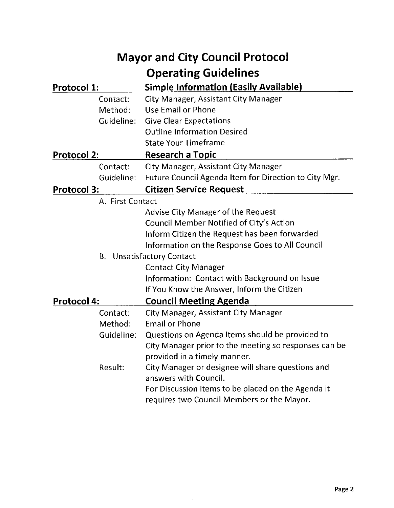| <b>Mayor and City Council Protocol</b> |                                                            |
|----------------------------------------|------------------------------------------------------------|
|                                        | <b>Operating Guidelines</b>                                |
| Protocol 1:                            | <b>Simple Information (Easily Available)</b>               |
| Contact:                               | City Manager, Assistant City Manager                       |
| Method:                                | Use Email or Phone                                         |
| Guideline:                             | <b>Give Clear Expectations</b>                             |
|                                        | <b>Outline Information Desired</b>                         |
|                                        | <b>State Your Timeframe</b>                                |
| <b>Protocol 2:</b>                     | Research a Topic                                           |
| Contact:                               | <b>City Manager, Assistant City Manager</b>                |
| Guideline:                             | Future Council Agenda Item for Direction to City Mgr.      |
| <b>Protocol 3:</b>                     | <b>Citizen Service Request</b>                             |
| A. First Contact                       |                                                            |
|                                        | <b>Advise City Manager of the Request</b>                  |
|                                        | Council Member Notified of City's Action                   |
|                                        | Inform Citizen the Request has been forwarded              |
|                                        | Information on the Response Goes to All Council            |
| <b>B.</b> Unsatisfactory Contact       |                                                            |
|                                        | <b>Contact City Manager</b>                                |
|                                        | Information: Contact with Background on Issue              |
|                                        | If You Know the Answer, Inform the Citizen                 |
| <b>Protocol 4:</b>                     | <b>Council Meeting Agenda</b>                              |
| Contact:                               | City Manager, Assistant City Manager                       |
| Method:                                | <b>Email or Phone</b>                                      |
|                                        | Guideline: Questions on Agenda Items should be provided to |
|                                        | City Manager prior to the meeting so responses can be      |
|                                        | provided in a timely manner.                               |
| Result:                                | City Manager or designee will share questions and          |
|                                        | answers with Council.                                      |
|                                        | For Discussion Items to be placed on the Agenda it         |
|                                        | requires two Council Members or the Mayor.                 |